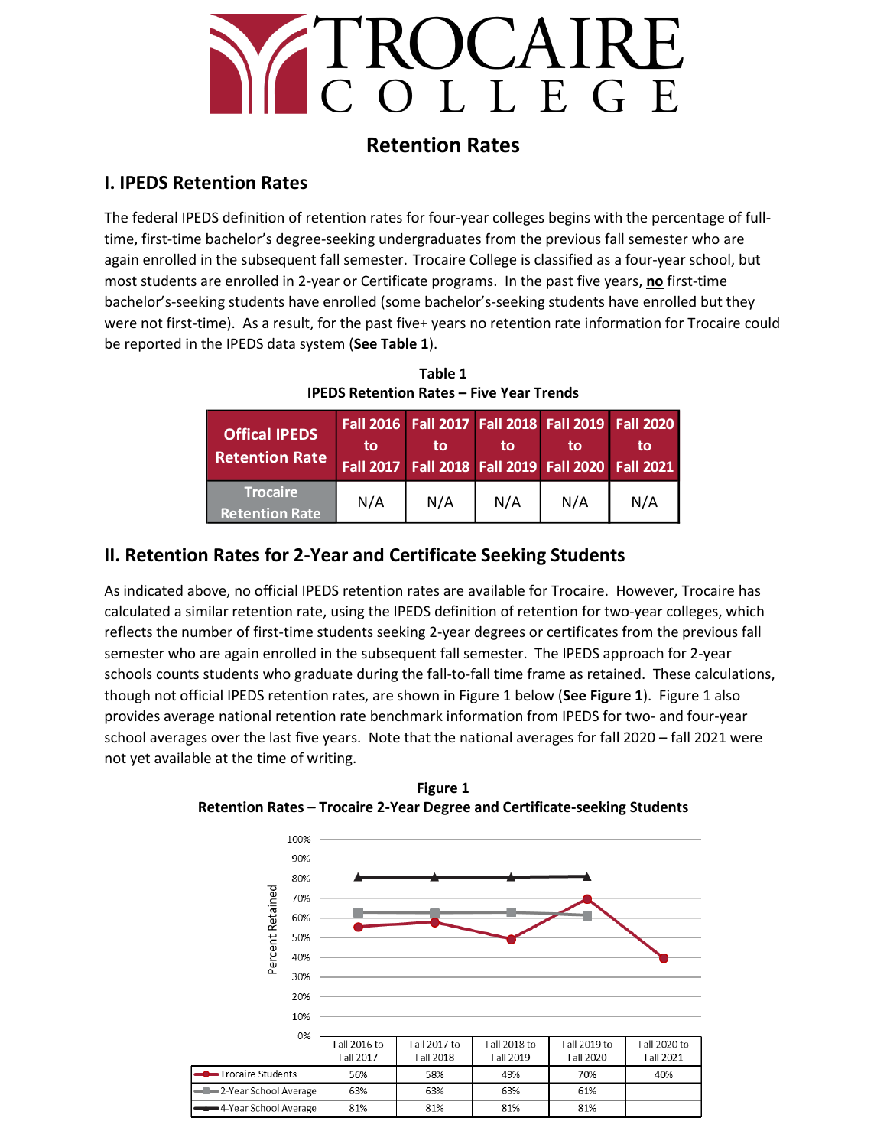

## **Retention Rates**

#### **I. IPEDS Retention Rates**

The federal IPEDS definition of retention rates for four-year colleges begins with the percentage of fulltime, first-time bachelor's degree-seeking [undergraduates](javascript:openglossary(677)) from the previous fall semester who are again enrolled in the subsequent fall semester. Trocaire College is classified as a four-year school, but most students are enrolled in 2-year or Certificate programs. In the past five years, **no** first-time bachelor's-seeking students have enrolled (some bachelor's-seeking students have enrolled but they were not first-time). As a result, for the past five+ years no retention rate information for Trocaire could be reported in the IPEDS data system (**See Table 1**).

**Table 1 IPEDS Retention Rates – Five Year Trends**

| <b>Offical IPEDS</b><br><b>Retention Rate</b> | to  | to  | to  | Fall 2016   Fall 2017   Fall 2018   Fall 2019   Fall 2020<br>to<br>Fall 2017   Fall 2018   Fall 2019   Fall 2020   Fall 2021 | tο  |
|-----------------------------------------------|-----|-----|-----|------------------------------------------------------------------------------------------------------------------------------|-----|
| Trocaire<br><b>Retention Rate</b>             | N/A | N/A | N/A | N/A                                                                                                                          | N/A |

## **II. Retention Rates for 2-Year and Certificate Seeking Students**

As indicated above, no official IPEDS retention rates are available for Trocaire. However, Trocaire has calculated a similar retention rate, using the IPEDS definition of retention for two-year colleges, which reflects the number of first-time students seeking 2-year degrees or certificates from the previous fall semester who are again enrolled in the subsequent fall semester. The IPEDS approach for 2-year schools counts students who graduate during the fall-to-fall time frame as retained. These calculations, though not official IPEDS retention rates, are shown in Figure 1 below (**See Figure 1**). Figure 1 also provides average national retention rate benchmark information from IPEDS for two- and four-year school averages over the last five years. Note that the national averages for fall 2020 – fall 2021 were not yet available at the time of writing.



**Figure 1 Retention Rates – Trocaire 2-Year Degree and Certificate-seeking Students**